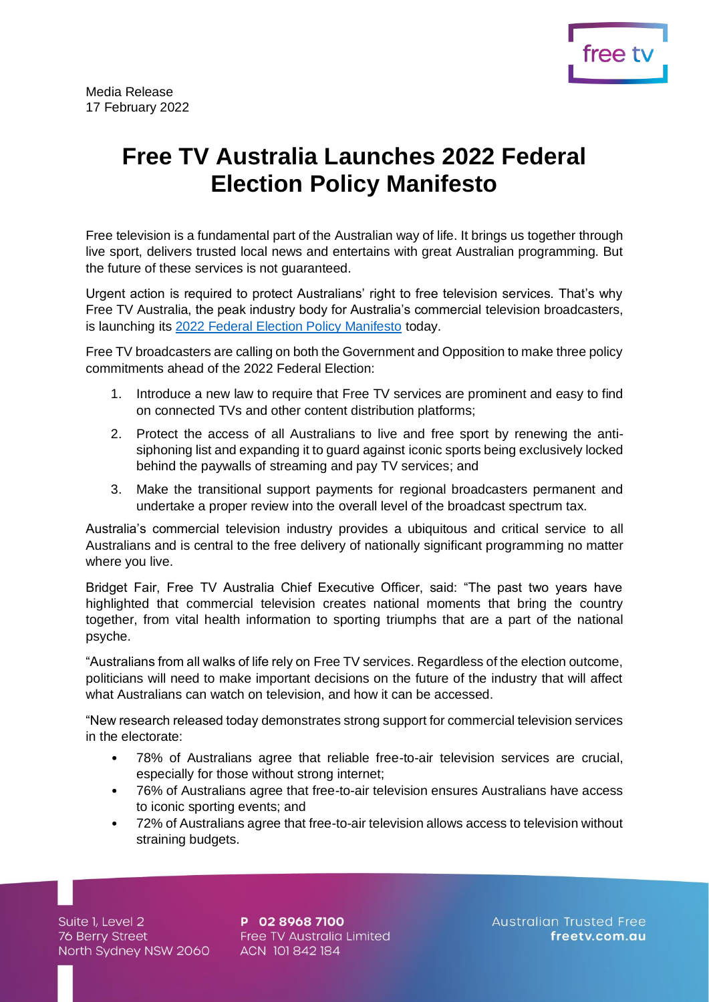

## **Free TV Australia Launches 2022 Federal Election Policy Manifesto**

Free television is a fundamental part of the Australian way of life. It brings us together through live sport, delivers trusted local news and entertains with great Australian programming. But the future of these services is not guaranteed.

Urgent action is required to protect Australians' right to free television services. That's why Free TV Australia, the peak industry body for Australia's commercial television broadcasters, is launching its [2022 Federal Election Policy Manifesto](https://www.freeforeveryone.com.au/policy) today.

Free TV broadcasters are calling on both the Government and Opposition to make three policy commitments ahead of the 2022 Federal Election:

- 1. Introduce a new law to require that Free TV services are prominent and easy to find on connected TVs and other content distribution platforms;
- 2. Protect the access of all Australians to live and free sport by renewing the antisiphoning list and expanding it to guard against iconic sports being exclusively locked behind the paywalls of streaming and pay TV services; and
- 3. Make the transitional support payments for regional broadcasters permanent and undertake a proper review into the overall level of the broadcast spectrum tax.

Australia's commercial television industry provides a ubiquitous and critical service to all Australians and is central to the free delivery of nationally significant programming no matter where you live.

Bridget Fair, Free TV Australia Chief Executive Officer, said: "The past two years have highlighted that commercial television creates national moments that bring the country together, from vital health information to sporting triumphs that are a part of the national psyche.

"Australians from all walks of life rely on Free TV services. Regardless of the election outcome, politicians will need to make important decisions on the future of the industry that will affect what Australians can watch on television, and how it can be accessed.

"New research released today demonstrates strong support for commercial television services in the electorate:

- 78% of Australians agree that reliable free-to-air television services are crucial, especially for those without strong internet;
- 76% of Australians agree that free-to-air television ensures Australians have access to iconic sporting events; and
- 72% of Australians agree that free-to-air television allows access to television without straining budgets.

Suite 1, Level 2 balle *i*, Lover 2<br>76 Berry Street North Sydney NSW 2060

P 02 8968 7100 Free TV Australia Limited ACN 101 842 184

**Australian Trusted Free** freetv.com.au